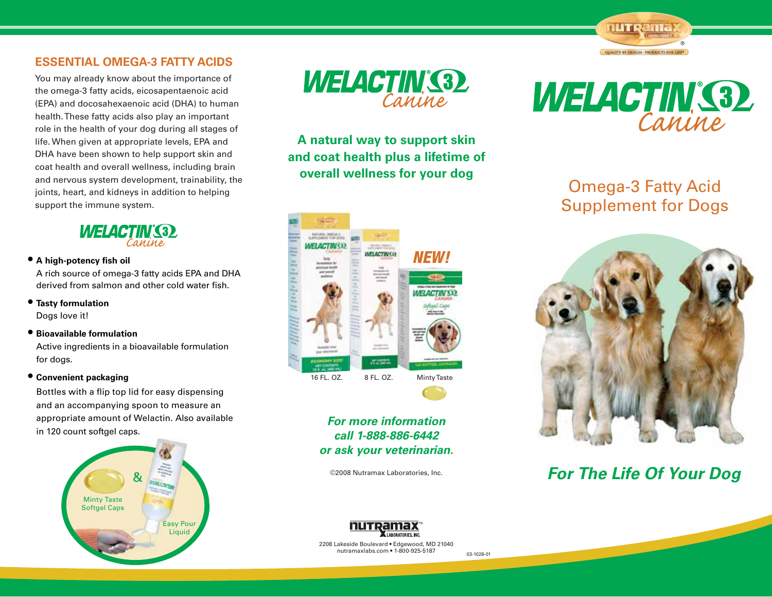### **ESSENTIAL OMEGA-3 FATTY ACIDS**

You may already know about the importance of the omega-3 fatty acids, eicosapentaenoic acid (EPA) and docosahexaenoic acid (DHA) to human health. These fatty acids also play an important role in the health of your dog during all stages of life. When given at appropriate levels, EPA and DHA have been shown to help support skin and coat health and overall wellness, including brain and nervous system development, trainability, the joints, heart, and kidneys in addition to helping support the immune system.



**tA high-potency fish oil** 

A rich source of omega-3 fatty acids EPA and DHA derived from salmon and other cold water fish.

- **tTasty formulation**  Dogs love it!
- **tBioavailable formulation**  Active ingredients in a bioavailable formulation for dogs.

### **tConvenient packaging**

Bottles with a flip top lid for easy dispensing and an accompanying spoon to measure an appropriate amount of Welactin. Also available in 120 count softgel caps.





**A natural way to support skin and coat health plus a lifetime of overall wellness for your dog**



## *For more information call 1-888-886-6442 or ask your veterinarian.*

©2008 Nutramax Laboratories, Inc.



**NUTRania** 

**QUALITY BY DESIGN - PRODUCTS FOR LIFE\*** 

## Omega-3 Fatty Acid Supplement for Dogs



## *For The Life Of Your Dog*



2208 Lakeside Boulevard · Edgewood, MD 21040 nutramaxlabs.com · 1-800-925-5187

03-1028-01